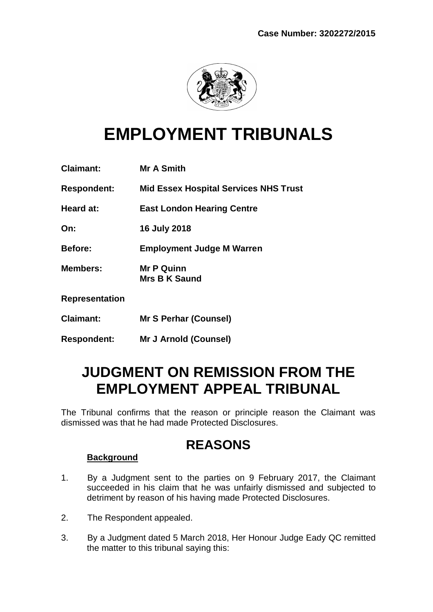

# **EMPLOYMENT TRIBUNALS**

| <b>Claimant:</b>   | <b>Mr A Smith</b>                            |
|--------------------|----------------------------------------------|
| <b>Respondent:</b> | <b>Mid Essex Hospital Services NHS Trust</b> |
| Heard at:          | <b>East London Hearing Centre</b>            |
| On:                | 16 July 2018                                 |
| Before:            | <b>Employment Judge M Warren</b>             |
| <b>Members:</b>    | <b>Mr P Quinn</b><br><b>Mrs B K Saund</b>    |
| Representation     |                                              |
| <b>Claimant:</b>   | <b>Mr S Perhar (Counsel)</b>                 |
| <b>Respondent:</b> | <b>Mr J Arnold (Counsel)</b>                 |

## **JUDGMENT ON REMISSION FROM THE EMPLOYMENT APPEAL TRIBUNAL**

The Tribunal confirms that the reason or principle reason the Claimant was dismissed was that he had made Protected Disclosures.

### **REASONS**

#### **Background**

- 1. By a Judgment sent to the parties on 9 February 2017, the Claimant succeeded in his claim that he was unfairly dismissed and subjected to detriment by reason of his having made Protected Disclosures.
- 2. The Respondent appealed.
- 3. By a Judgment dated 5 March 2018, Her Honour Judge Eady QC remitted the matter to this tribunal saying this: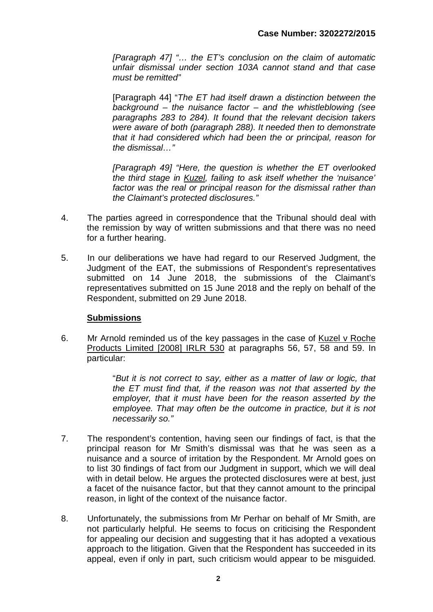*[Paragraph 47] "… the ET's conclusion on the claim of automatic unfair dismissal under section 103A cannot stand and that case must be remitted"*

[Paragraph 44] "*The ET had itself drawn a distinction between the background – the nuisance factor – and the whistleblowing (see paragraphs 283 to 284). It found that the relevant decision takers were aware of both (paragraph 288). It needed then to demonstrate that it had considered which had been the or principal, reason for the dismissal…"*

*[Paragraph 49] "Here, the question is whether the ET overlooked the third stage in Kuzel, failing to ask itself whether the 'nuisance' factor was the real or principal reason for the dismissal rather than the Claimant's protected disclosures."*

- 4. The parties agreed in correspondence that the Tribunal should deal with the remission by way of written submissions and that there was no need for a further hearing.
- 5. In our deliberations we have had regard to our Reserved Judgment, the Judgment of the EAT, the submissions of Respondent's representatives submitted on 14 June 2018, the submissions of the Claimant's representatives submitted on 15 June 2018 and the reply on behalf of the Respondent, submitted on 29 June 2018.

#### **Submissions**

6. Mr Arnold reminded us of the key passages in the case of Kuzel v Roche Products Limited [2008] IRLR 530 at paragraphs 56, 57, 58 and 59. In particular:

> "*But it is not correct to say, either as a matter of law or logic, that the ET must find that, if the reason was not that asserted by the employer, that it must have been for the reason asserted by the employee. That may often be the outcome in practice, but it is not necessarily so."*

- 7. The respondent's contention, having seen our findings of fact, is that the principal reason for Mr Smith's dismissal was that he was seen as a nuisance and a source of irritation by the Respondent. Mr Arnold goes on to list 30 findings of fact from our Judgment in support, which we will deal with in detail below. He argues the protected disclosures were at best, just a facet of the nuisance factor, but that they cannot amount to the principal reason, in light of the context of the nuisance factor.
- 8. Unfortunately, the submissions from Mr Perhar on behalf of Mr Smith, are not particularly helpful. He seems to focus on criticising the Respondent for appealing our decision and suggesting that it has adopted a vexatious approach to the litigation. Given that the Respondent has succeeded in its appeal, even if only in part, such criticism would appear to be misguided.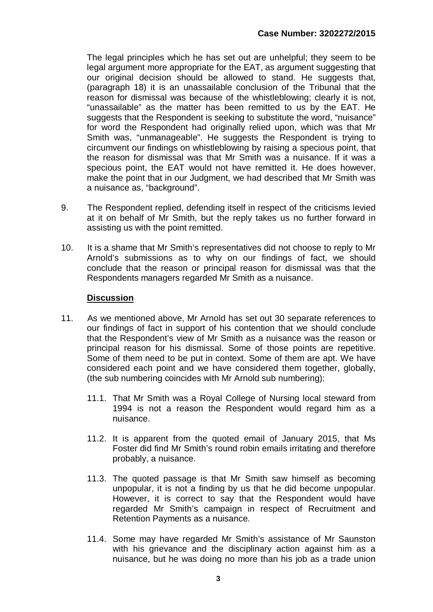The legal principles which he has set out are unhelpful; they seem to be legal argument more appropriate for the EAT, as argument suggesting that our original decision should be allowed to stand. He suggests that, (paragraph 18) it is an unassailable conclusion of the Tribunal that the reason for dismissal was because of the whistleblowing; clearly it is not, "unassailable" as the matter has been remitted to us by the EAT. He suggests that the Respondent is seeking to substitute the word, "nuisance" for word the Respondent had originally relied upon, which was that Mr Smith was, "unmanageable". He suggests the Respondent is trying to circumvent our findings on whistleblowing by raising a specious point, that the reason for dismissal was that Mr Smith was a nuisance. If it was a specious point, the EAT would not have remitted it. He does however, make the point that in our Judgment, we had described that Mr Smith was a nuisance as, "background".

- 9. The Respondent replied, defending itself in respect of the criticisms levied at it on behalf of Mr Smith, but the reply takes us no further forward in assisting us with the point remitted.
- 10. It is a shame that Mr Smith's representatives did not choose to reply to Mr Arnold's submissions as to why on our findings of fact, we should conclude that the reason or principal reason for dismissal was that the Respondents managers regarded Mr Smith as a nuisance.

#### **Discussion**

- 11. As we mentioned above, Mr Arnold has set out 30 separate references to our findings of fact in support of his contention that we should conclude that the Respondent's view of Mr Smith as a nuisance was the reason or principal reason for his dismissal. Some of those points are repetitive. Some of them need to be put in context. Some of them are apt. We have considered each point and we have considered them together, globally, (the sub numbering coincides with Mr Arnold sub numbering):
	- 11.1. That Mr Smith was a Royal College of Nursing local steward from 1994 is not a reason the Respondent would regard him as a nuisance.
	- 11.2. It is apparent from the quoted email of January 2015, that Ms Foster did find Mr Smith's round robin emails irritating and therefore probably, a nuisance.
	- 11.3. The quoted passage is that Mr Smith saw himself as becoming unpopular, it is not a finding by us that he did become unpopular. However, it is correct to say that the Respondent would have regarded Mr Smith's campaign in respect of Recruitment and Retention Payments as a nuisance.
	- 11.4. Some may have regarded Mr Smith's assistance of Mr Saunston with his grievance and the disciplinary action against him as a nuisance, but he was doing no more than his job as a trade union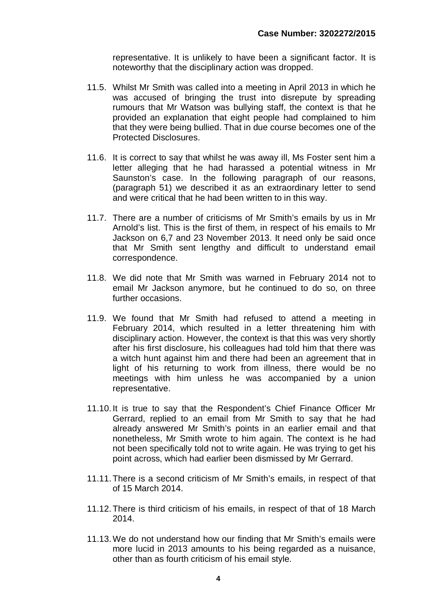representative. It is unlikely to have been a significant factor. It is noteworthy that the disciplinary action was dropped.

- 11.5. Whilst Mr Smith was called into a meeting in April 2013 in which he was accused of bringing the trust into disrepute by spreading rumours that Mr Watson was bullying staff, the context is that he provided an explanation that eight people had complained to him that they were being bullied. That in due course becomes one of the Protected Disclosures.
- 11.6. It is correct to say that whilst he was away ill, Ms Foster sent him a letter alleging that he had harassed a potential witness in Mr Saunston's case. In the following paragraph of our reasons, (paragraph 51) we described it as an extraordinary letter to send and were critical that he had been written to in this way.
- 11.7. There are a number of criticisms of Mr Smith's emails by us in Mr Arnold's list. This is the first of them, in respect of his emails to Mr Jackson on 6,7 and 23 November 2013. It need only be said once that Mr Smith sent lengthy and difficult to understand email correspondence.
- 11.8. We did note that Mr Smith was warned in February 2014 not to email Mr Jackson anymore, but he continued to do so, on three further occasions.
- 11.9. We found that Mr Smith had refused to attend a meeting in February 2014, which resulted in a letter threatening him with disciplinary action. However, the context is that this was very shortly after his first disclosure, his colleagues had told him that there was a witch hunt against him and there had been an agreement that in light of his returning to work from illness, there would be no meetings with him unless he was accompanied by a union representative.
- 11.10. It is true to say that the Respondent's Chief Finance Officer Mr Gerrard, replied to an email from Mr Smith to say that he had already answered Mr Smith's points in an earlier email and that nonetheless, Mr Smith wrote to him again. The context is he had not been specifically told not to write again. He was trying to get his point across, which had earlier been dismissed by Mr Gerrard.
- 11.11.There is a second criticism of Mr Smith's emails, in respect of that of 15 March 2014.
- 11.12.There is third criticism of his emails, in respect of that of 18 March 2014.
- 11.13.We do not understand how our finding that Mr Smith's emails were more lucid in 2013 amounts to his being regarded as a nuisance, other than as fourth criticism of his email style.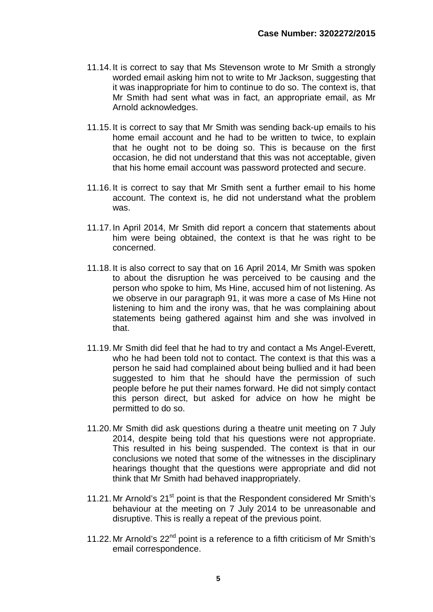- 11.14. It is correct to say that Ms Stevenson wrote to Mr Smith a strongly worded email asking him not to write to Mr Jackson, suggesting that it was inappropriate for him to continue to do so. The context is, that Mr Smith had sent what was in fact, an appropriate email, as Mr Arnold acknowledges.
- 11.15. It is correct to say that Mr Smith was sending back-up emails to his home email account and he had to be written to twice, to explain that he ought not to be doing so. This is because on the first occasion, he did not understand that this was not acceptable, given that his home email account was password protected and secure.
- 11.16. It is correct to say that Mr Smith sent a further email to his home account. The context is, he did not understand what the problem was.
- 11.17. In April 2014, Mr Smith did report a concern that statements about him were being obtained, the context is that he was right to be concerned.
- 11.18. It is also correct to say that on 16 April 2014, Mr Smith was spoken to about the disruption he was perceived to be causing and the person who spoke to him, Ms Hine, accused him of not listening. As we observe in our paragraph 91, it was more a case of Ms Hine not listening to him and the irony was, that he was complaining about statements being gathered against him and she was involved in that.
- 11.19. Mr Smith did feel that he had to try and contact a Ms Angel-Everett, who he had been told not to contact. The context is that this was a person he said had complained about being bullied and it had been suggested to him that he should have the permission of such people before he put their names forward. He did not simply contact this person direct, but asked for advice on how he might be permitted to do so.
- 11.20. Mr Smith did ask questions during a theatre unit meeting on 7 July 2014, despite being told that his questions were not appropriate. This resulted in his being suspended. The context is that in our conclusions we noted that some of the witnesses in the disciplinary hearings thought that the questions were appropriate and did not think that Mr Smith had behaved inappropriately.
- 11.21. Mr Arnold's 21<sup>st</sup> point is that the Respondent considered Mr Smith's behaviour at the meeting on 7 July 2014 to be unreasonable and disruptive. This is really a repeat of the previous point.
- 11.22. Mr Arnold's  $22<sup>nd</sup>$  point is a reference to a fifth criticism of Mr Smith's email correspondence.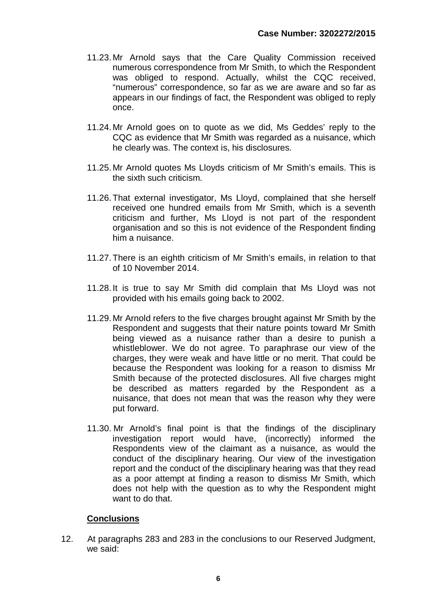- 11.23. Mr Arnold says that the Care Quality Commission received numerous correspondence from Mr Smith, to which the Respondent was obliged to respond. Actually, whilst the CQC received, "numerous" correspondence, so far as we are aware and so far as appears in our findings of fact, the Respondent was obliged to reply once.
- 11.24. Mr Arnold goes on to quote as we did, Ms Geddes' reply to the CQC as evidence that Mr Smith was regarded as a nuisance, which he clearly was. The context is, his disclosures.
- 11.25. Mr Arnold quotes Ms Lloyds criticism of Mr Smith's emails. This is the sixth such criticism.
- 11.26.That external investigator, Ms Lloyd, complained that she herself received one hundred emails from Mr Smith, which is a seventh criticism and further, Ms Lloyd is not part of the respondent organisation and so this is not evidence of the Respondent finding him a nuisance.
- 11.27.There is an eighth criticism of Mr Smith's emails, in relation to that of 10 November 2014.
- 11.28. It is true to say Mr Smith did complain that Ms Lloyd was not provided with his emails going back to 2002.
- 11.29. Mr Arnold refers to the five charges brought against Mr Smith by the Respondent and suggests that their nature points toward Mr Smith being viewed as a nuisance rather than a desire to punish a whistleblower. We do not agree. To paraphrase our view of the charges, they were weak and have little or no merit. That could be because the Respondent was looking for a reason to dismiss Mr Smith because of the protected disclosures. All five charges might be described as matters regarded by the Respondent as a nuisance, that does not mean that was the reason why they were put forward.
- 11.30. Mr Arnold's final point is that the findings of the disciplinary investigation report would have, (incorrectly) informed the Respondents view of the claimant as a nuisance, as would the conduct of the disciplinary hearing. Our view of the investigation report and the conduct of the disciplinary hearing was that they read as a poor attempt at finding a reason to dismiss Mr Smith, which does not help with the question as to why the Respondent might want to do that.

#### **Conclusions**

12. At paragraphs 283 and 283 in the conclusions to our Reserved Judgment, we said: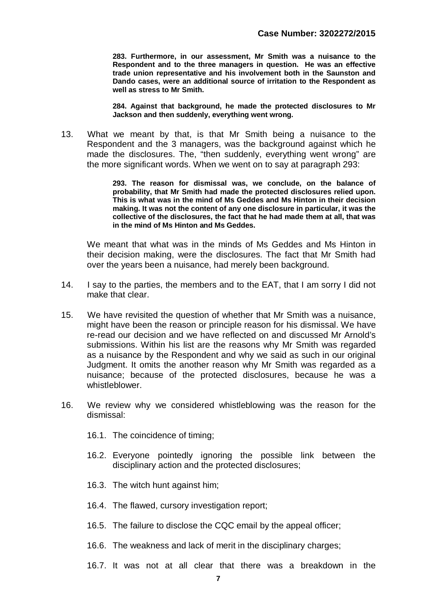**283. Furthermore, in our assessment, Mr Smith was a nuisance to the Respondent and to the three managers in question. He was an effective trade union representative and his involvement both in the Saunston and Dando cases, were an additional source of irritation to the Respondent as well as stress to Mr Smith.** 

**284. Against that background, he made the protected disclosures to Mr Jackson and then suddenly, everything went wrong.**

13. What we meant by that, is that Mr Smith being a nuisance to the Respondent and the 3 managers, was the background against which he made the disclosures. The, "then suddenly, everything went wrong" are the more significant words. When we went on to say at paragraph 293:

> **293. The reason for dismissal was, we conclude, on the balance of probability, that Mr Smith had made the protected disclosures relied upon. This is what was in the mind of Ms Geddes and Ms Hinton in their decision making. It was not the content of any one disclosure in particular, it was the collective of the disclosures, the fact that he had made them at all, that was in the mind of Ms Hinton and Ms Geddes.**

We meant that what was in the minds of Ms Geddes and Ms Hinton in their decision making, were the disclosures. The fact that Mr Smith had over the years been a nuisance, had merely been background.

- 14. I say to the parties, the members and to the EAT, that I am sorry I did not make that clear.
- 15. We have revisited the question of whether that Mr Smith was a nuisance, might have been the reason or principle reason for his dismissal. We have re-read our decision and we have reflected on and discussed Mr Arnold's submissions. Within his list are the reasons why Mr Smith was regarded as a nuisance by the Respondent and why we said as such in our original Judgment. It omits the another reason why Mr Smith was regarded as a nuisance; because of the protected disclosures, because he was a whistleblower.
- 16. We review why we considered whistleblowing was the reason for the dismissal:
	- 16.1. The coincidence of timing;
	- 16.2. Everyone pointedly ignoring the possible link between the disciplinary action and the protected disclosures;
	- 16.3. The witch hunt against him;
	- 16.4. The flawed, cursory investigation report;
	- 16.5. The failure to disclose the CQC email by the appeal officer;
	- 16.6. The weakness and lack of merit in the disciplinary charges:
	- 16.7. It was not at all clear that there was a breakdown in the